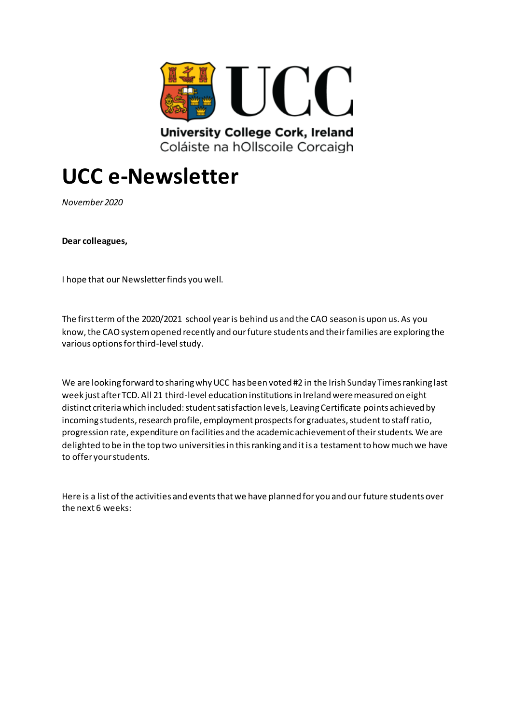

# **UCC e-Newsletter**

*November 2020*

**Dear colleagues,**

I hope that our Newsletter finds you well.

The first term of the 2020/2021 school year is behind us and the CAO season is upon us. As you know, the CAO system opened recently and our future students and their families are exploring the various options for third-level study.

We are looking forward to sharing why UCC has been voted #2 in the Irish Sunday Times ranking last week just after TCD. All 21 third-level education institutions in Ireland were measured on eight distinct criteria which included: student satisfaction levels, Leaving Certificate points achieved by incoming students, research profile, employment prospects for graduates, student to staff ratio, progression rate, expenditure on facilities and the academic achievement of their students. We are delighted to be in the top two universities in this ranking and it is a testament to how much we have to offer your students.

Here is a list of the activities and events that we have planned for you and our future students over the next 6 weeks: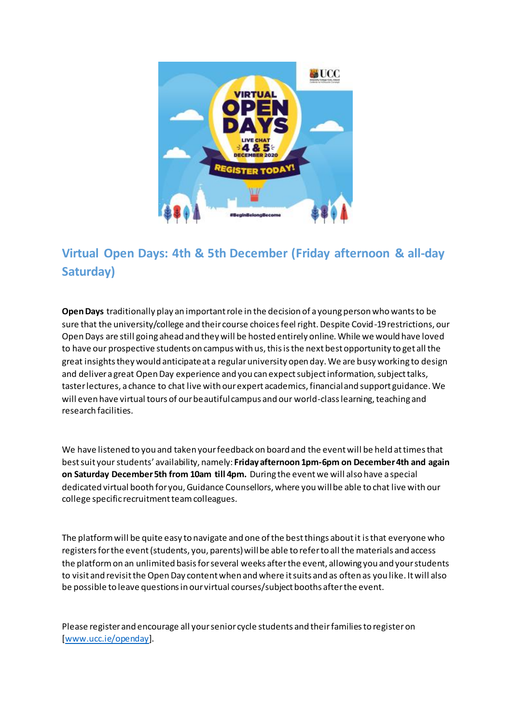

## **Virtual Open Days: 4th & 5th December (Friday afternoon & all-day Saturday)**

**Open Days** traditionally play an important role in the decision of a young person who wants to be sure that the university/college and their course choices feel right. Despite Covid-19 restrictions, our Open Days are still going ahead and they will be hosted entirely online. While we would have loved to have our prospective students on campus with us, this is the next best opportunity to get all the great insights they would anticipate at a regular university open day. We are busy working to design and deliver a great Open Day experience and you can expect subject information, subject talks, taster lectures, a chance to chat live with our expert academics, financial and support guidance. We will even have virtual tours of our beautiful campus and our world-class learning, teaching and research facilities.

We have listened to you and taken your feedback on board and the event will be held at times that best suit your students' availability, namely: **Friday afternoon 1pm-6pm on December 4th and again on Saturday December 5th from 10am till 4pm.** During the event we will also have a special dedicated virtual booth for you, Guidance Counsellors, where you will be able to chat live with our college specific recruitment team colleagues.

The platform will be quite easy to navigate and one of the best things about it is that everyone who registers for the event (students, you, parents) will be able to refer to all the materials and access the platform on an unlimited basis for several weeks after the event, allowing you and your students to visit and revisit the Open Day content when and where it suits and as often as you like. It will also be possible to leave questions in our virtual courses/subject booths after the event.

Please register and encourage all your senior cycle students and their families to register on [\[www.ucc.ie/openday](http://www.ucc.ie/openday)].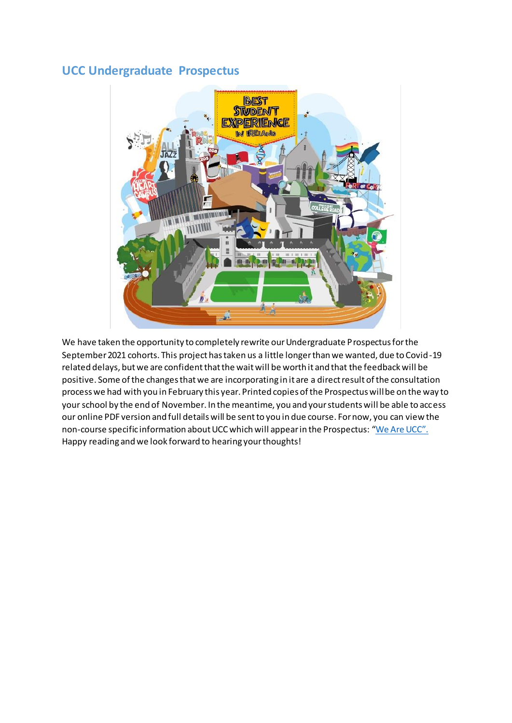#### **UCC Undergraduate Prospectus**



We have taken the opportunity to completely rewrite our Undergraduate Prospectus for the September 2021 cohorts. This project has taken us a little longer than we wanted, due to Covid-19 related delays, but we are confident that the wait will be worth it and that the feedback will be positive. Some of the changes that we are incorporating in it are a direct result of the consultation process we had with you in February this year. Printed copies of the Prospectus will be on the way to your school by the end of November. In the meantime, you and your students will be able to access our online PDF version and full details will be sent to you in due course. For now, you can view the non-course specific information about UCC which will appear in the Prospectus: "[We Are UCC](https://issuu.com/discoverucc/docs/ucc_20prospectus_20development_20for_20higher_20op)". Happy reading and we look forward to hearing your thoughts!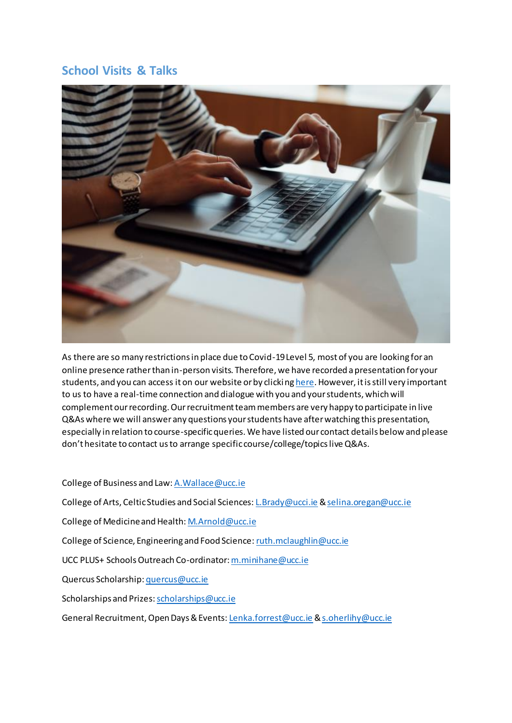#### **School Visits & Talks**



As there are so many restrictions in place due to Covid-19 Level 5, most of you are looking for an online presence rather than in-person visits. Therefore, we have recorded a presentation for your students, and you can access it on our website or by clickin[g here](https://ucc.cloud.panopto.eu/Panopto/Pages/Viewer.aspx?id=05cfb1ad-6cb9-45bb-afeb-ac6101537a26). However, it is still very important to us to have a real-time connection and dialogue with you and your students, which will complement our recording. Our recruitment team members are very happy to participate in live Q&As where we will answer any questions your students have after watching this presentation, especially in relation to course-specific queries. We have listed our contact details below and please don't hesitate to contact us to arrange specific course/college/topics live Q&As.

#### College of Business and Law[: A.Wallace@ucc.ie](mailto:A.Wallace@ucc.ie)

College of Arts, Celtic Studies and Social Sciences[: L.Brady@ucci.ie](mailto:L.Brady@ucci.ie) [& selina.oregan@ucc.ie](mailto:selina.oregan@ucc.ie)

College of Medicine and Health[: M.Arnold@ucc.ie](mailto:M.Arnold@ucc.ie)

College of Science, Engineering and Food Science[: ruth.mclaughlin@ucc.ie](mailto:ruth.mclaughlin@ucc.ie)

UCC PLUS+ Schools Outreach Co-ordinator[: m.minihane@ucc.ie](mailto:m.minihane@ucc.ie)

Quercus Scholarship[: quercus@ucc.ie](mailto:quercus@ucc.ie)

Scholarships and Prizes[: scholarships@ucc.ie](mailto:scholarships@ucc.ie)

General Recruitment, Open Days & Events[: Lenka.forrest@ucc.ie](mailto:Lenka.forrest@ucc.ie) [& s.oherlihy@ucc.ie](mailto:s.oherlihy@ucc.ie)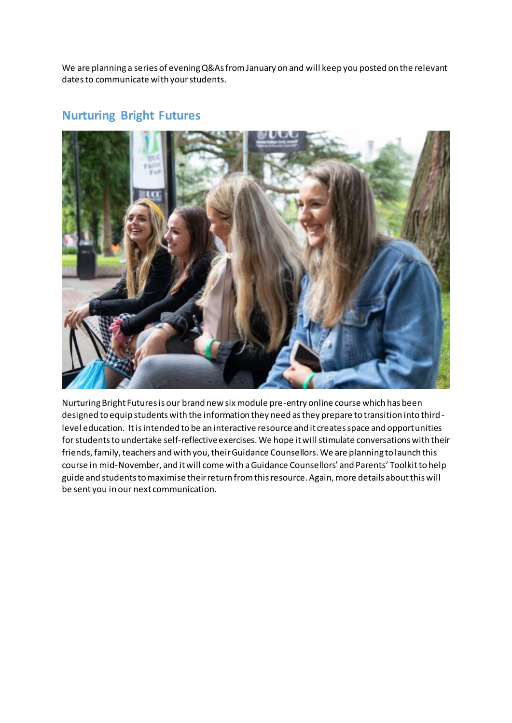We are planning a series of evening Q&As from January on and will keep you posted on the relevant dates to communicate with your students.

#### **Nurturing Bright Futures**



Nurturing Bright Futures is our brand new six module pre-entry online course which has been designed to equip students with the information they need as they prepare to transition into thirdlevel education. It is intended to be an interactive resource and it creates space and opportunities for students to undertake self-reflective exercises. We hope it will stimulate conversations with their friends, family, teachers and with you, their Guidance Counsellors. We are planning to launch this course in mid-November, and it will come with a Guidance Counsellors' and Parents' Toolkit to help guide and students to maximise their return from this resource. Again, more details about this will be sent you in our next communication.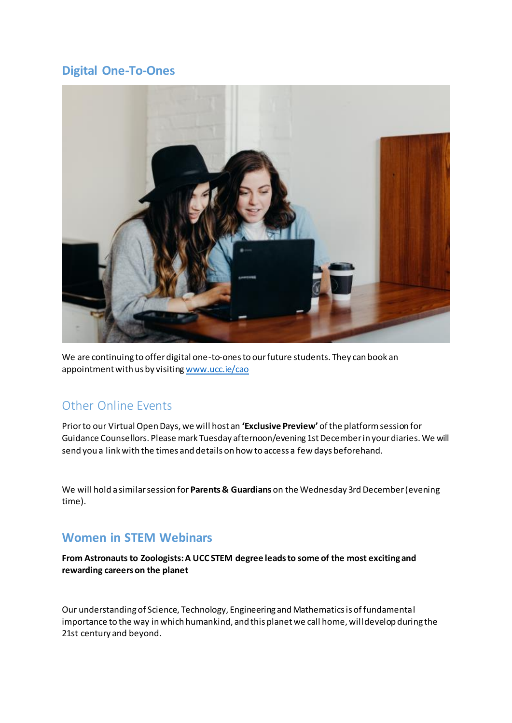### **Digital One-To-Ones**



We are continuing to offer digital one-to-ones to our future students. They can book an appointment with us by visitin[g www.ucc.ie/cao](http://www.ucc.ie/cao)

## Other Online Events

Prior to our Virtual Open Days, we will host an **'Exclusive Preview'** of the platform session for Guidance Counsellors. Please mark Tuesday afternoon/evening 1st December in your diaries. We will send you a link with the times and details on how to access a few days beforehand.

We will hold a similar session for **Parents & Guardians** on the Wednesday 3rd December (evening time).

### **Women in STEM Webinars**

**From Astronauts to Zoologists: A UCC STEM degree leads to some of the most exciting and rewarding careers on the planet**

Our understanding of Science, Technology, Engineering and Mathematics is of fundamental importance to the way in which humankind, and this planet we call home, will develop during the 21st century and beyond.